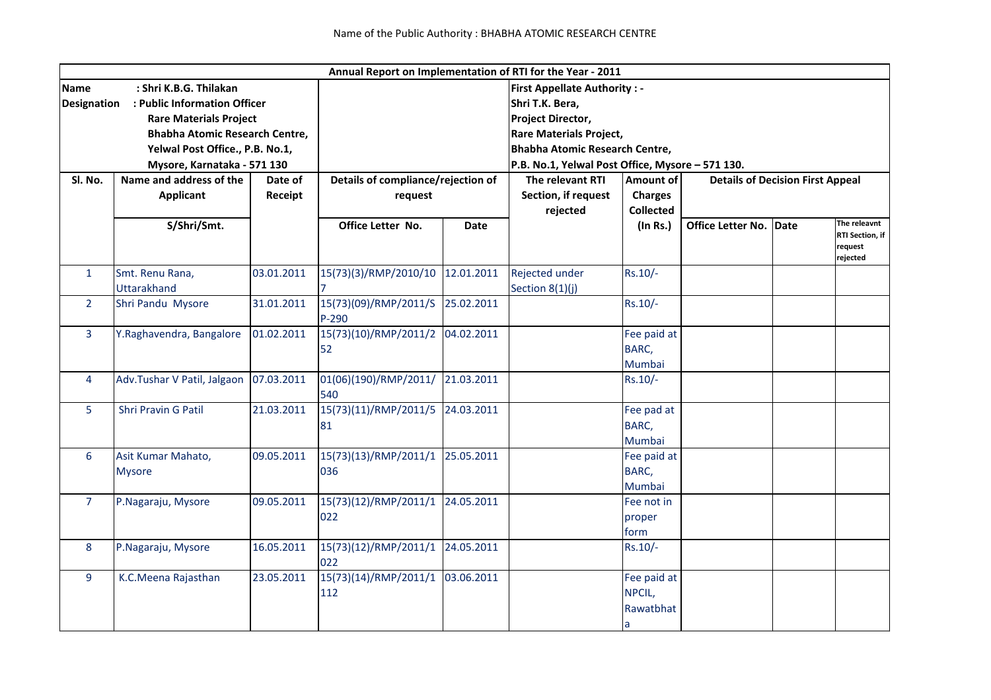|                                                                                     |                                |            | Annual Report on Implementation of RTI for the Year - 2011 |                                |                                                  |                                                      |                               |  |                        |  |
|-------------------------------------------------------------------------------------|--------------------------------|------------|------------------------------------------------------------|--------------------------------|--------------------------------------------------|------------------------------------------------------|-------------------------------|--|------------------------|--|
| <b>Name</b>                                                                         | : Shri K.B.G. Thilakan         |            | <b>First Appellate Authority: -</b>                        |                                |                                                  |                                                      |                               |  |                        |  |
| <b>Designation</b><br>: Public Information Officer<br><b>Rare Materials Project</b> |                                |            | Shri T.K. Bera,                                            |                                |                                                  |                                                      |                               |  |                        |  |
|                                                                                     |                                |            |                                                            |                                | <b>Project Director,</b>                         |                                                      |                               |  |                        |  |
|                                                                                     | Bhabha Atomic Research Centre, |            |                                                            | <b>Rare Materials Project,</b> |                                                  |                                                      |                               |  |                        |  |
| Yelwal Post Office., P.B. No.1,                                                     |                                |            |                                                            |                                | <b>Bhabha Atomic Research Centre,</b>            |                                                      |                               |  |                        |  |
| Mysore, Karnataka - 571 130                                                         |                                |            |                                                            |                                | P.B. No.1, Yelwal Post Office, Mysore - 571 130. |                                                      |                               |  |                        |  |
| SI. No.                                                                             | Name and address of the        | Date of    | Details of compliance/rejection of                         |                                | The relevant RTI                                 | <b>Details of Decision First Appeal</b><br>Amount of |                               |  |                        |  |
|                                                                                     | Applicant                      | Receipt    | request                                                    |                                | Section, if request                              | <b>Charges</b>                                       |                               |  |                        |  |
|                                                                                     |                                |            |                                                            |                                | rejected                                         | <b>Collected</b>                                     |                               |  |                        |  |
|                                                                                     | S/Shri/Smt.                    |            | Office Letter No.                                          | <b>Date</b>                    |                                                  | (In Rs.)                                             | <b>Office Letter No. Date</b> |  | The releavnt           |  |
|                                                                                     |                                |            |                                                            |                                |                                                  |                                                      |                               |  | <b>RTI Section, if</b> |  |
|                                                                                     |                                |            |                                                            |                                |                                                  |                                                      |                               |  | request<br>rejected    |  |
| $\mathbf{1}$                                                                        | Smt. Renu Rana,                | 03.01.2011 | 15(73)(3)/RMP/2010/10                                      | 12.01.2011                     | Rejected under                                   | $Rs.10/-$                                            |                               |  |                        |  |
|                                                                                     | <b>Uttarakhand</b>             |            |                                                            |                                | Section 8(1)(j)                                  |                                                      |                               |  |                        |  |
| $\overline{2}$                                                                      | Shri Pandu Mysore              | 31.01.2011 | 15(73)(09)/RMP/2011/S                                      | 25.02.2011                     |                                                  | Rs.10/-                                              |                               |  |                        |  |
|                                                                                     |                                |            | $P-290$                                                    |                                |                                                  |                                                      |                               |  |                        |  |
| $\overline{3}$                                                                      | Y.Raghavendra, Bangalore       | 01.02.2011 | 15(73)(10)/RMP/2011/2                                      | 04.02.2011                     |                                                  | Fee paid at                                          |                               |  |                        |  |
|                                                                                     |                                |            | 52                                                         |                                |                                                  | BARC,                                                |                               |  |                        |  |
|                                                                                     |                                |            |                                                            |                                |                                                  | Mumbai                                               |                               |  |                        |  |
| 4                                                                                   | Adv.Tushar V Patil, Jalgaon    | 07.03.2011 | 01(06)(190)/RMP/2011/                                      | 21.03.2011                     |                                                  | $Rs.10/-$                                            |                               |  |                        |  |
|                                                                                     |                                |            | 540                                                        |                                |                                                  |                                                      |                               |  |                        |  |
| 5                                                                                   | <b>Shri Pravin G Patil</b>     | 21.03.2011 | 15(73)(11)/RMP/2011/5                                      | 24.03.2011                     |                                                  | Fee pad at                                           |                               |  |                        |  |
|                                                                                     |                                |            | 81                                                         |                                |                                                  | BARC,                                                |                               |  |                        |  |
|                                                                                     |                                |            |                                                            |                                |                                                  | Mumbai                                               |                               |  |                        |  |
| 6                                                                                   | Asit Kumar Mahato,             | 09.05.2011 | 15(73)(13)/RMP/2011/1                                      | 25.05.2011                     |                                                  | Fee paid at                                          |                               |  |                        |  |
|                                                                                     | <b>Mysore</b>                  |            | 036                                                        |                                |                                                  | BARC,                                                |                               |  |                        |  |
|                                                                                     |                                |            |                                                            |                                |                                                  | Mumbai                                               |                               |  |                        |  |
| 7                                                                                   | P.Nagaraju, Mysore             | 09.05.2011 | 15(73)(12)/RMP/2011/1                                      | 24.05.2011                     |                                                  | Fee not in                                           |                               |  |                        |  |
|                                                                                     |                                |            | 022                                                        |                                |                                                  | proper                                               |                               |  |                        |  |
|                                                                                     |                                |            |                                                            |                                |                                                  | form                                                 |                               |  |                        |  |
| 8                                                                                   | P.Nagaraju, Mysore             | 16.05.2011 | 15(73)(12)/RMP/2011/1                                      | 24.05.2011                     |                                                  | Rs.10/-                                              |                               |  |                        |  |
|                                                                                     |                                |            | 022                                                        |                                |                                                  |                                                      |                               |  |                        |  |
| 9                                                                                   | K.C.Meena Rajasthan            | 23.05.2011 | 15(73)(14)/RMP/2011/1                                      | 03.06.2011                     |                                                  | Fee paid at                                          |                               |  |                        |  |
|                                                                                     |                                |            | 112                                                        |                                |                                                  | NPCIL,                                               |                               |  |                        |  |
|                                                                                     |                                |            |                                                            |                                |                                                  | Rawatbhat                                            |                               |  |                        |  |
|                                                                                     |                                |            |                                                            |                                |                                                  | a                                                    |                               |  |                        |  |
|                                                                                     |                                |            |                                                            |                                |                                                  |                                                      |                               |  |                        |  |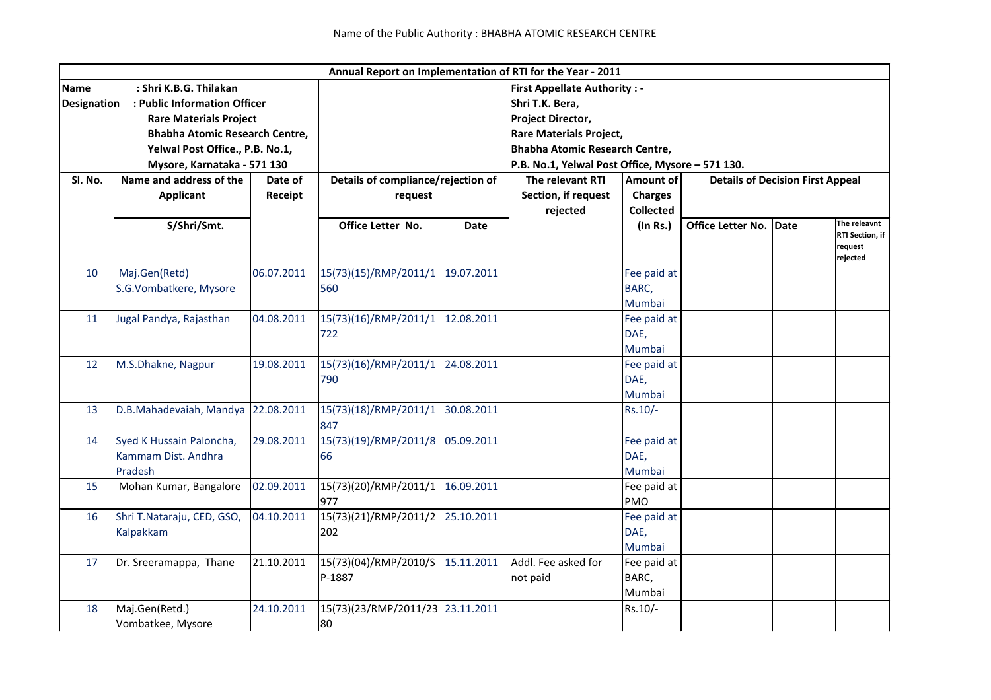|                                                    |                                       |            | Annual Report on Implementation of RTI for the Year - 2011 |                                       |                                                  |                   |                                         |      |                        |  |  |
|----------------------------------------------------|---------------------------------------|------------|------------------------------------------------------------|---------------------------------------|--------------------------------------------------|-------------------|-----------------------------------------|------|------------------------|--|--|
| : Shri K.B.G. Thilakan<br>Name                     |                                       |            | <b>First Appellate Authority: -</b>                        |                                       |                                                  |                   |                                         |      |                        |  |  |
| : Public Information Officer<br><b>Designation</b> |                                       |            | Shri T.K. Bera,                                            |                                       |                                                  |                   |                                         |      |                        |  |  |
|                                                    | <b>Rare Materials Project</b>         |            |                                                            |                                       |                                                  | Project Director, |                                         |      |                        |  |  |
|                                                    | <b>Bhabha Atomic Research Centre,</b> |            |                                                            |                                       | <b>Rare Materials Project,</b>                   |                   |                                         |      |                        |  |  |
|                                                    | Yelwal Post Office., P.B. No.1,       |            |                                                            | <b>Bhabha Atomic Research Centre,</b> |                                                  |                   |                                         |      |                        |  |  |
| Mysore, Karnataka - 571 130                        |                                       |            |                                                            |                                       | P.B. No.1, Yelwal Post Office, Mysore - 571 130. |                   |                                         |      |                        |  |  |
| Sl. No.                                            | Name and address of the               | Date of    | Details of compliance/rejection of                         |                                       | The relevant RTI                                 | Amount of         | <b>Details of Decision First Appeal</b> |      |                        |  |  |
|                                                    | <b>Applicant</b>                      | Receipt    | request                                                    |                                       | Section, if request                              | <b>Charges</b>    |                                         |      |                        |  |  |
|                                                    |                                       |            |                                                            |                                       | rejected                                         | <b>Collected</b>  |                                         |      |                        |  |  |
|                                                    | S/Shri/Smt.                           |            | Office Letter No.                                          | <b>Date</b>                           |                                                  | (In Rs.)          | Office Letter No.                       | Date | The releavnt           |  |  |
|                                                    |                                       |            |                                                            |                                       |                                                  |                   |                                         |      | <b>RTI Section, if</b> |  |  |
|                                                    |                                       |            |                                                            |                                       |                                                  |                   |                                         |      | request<br>rejected    |  |  |
| 10                                                 | Maj.Gen(Retd)                         | 06.07.2011 | 15(73)(15)/RMP/2011/1                                      | 19.07.2011                            |                                                  | Fee paid at       |                                         |      |                        |  |  |
|                                                    | S.G.Vombatkere, Mysore                |            | 560                                                        |                                       |                                                  | BARC,             |                                         |      |                        |  |  |
|                                                    |                                       |            |                                                            |                                       |                                                  | Mumbai            |                                         |      |                        |  |  |
| 11                                                 | Jugal Pandya, Rajasthan               | 04.08.2011 | 15(73)(16)/RMP/2011/1                                      | 12.08.2011                            |                                                  | Fee paid at       |                                         |      |                        |  |  |
|                                                    |                                       |            | 722                                                        |                                       |                                                  | DAE,              |                                         |      |                        |  |  |
|                                                    |                                       |            |                                                            |                                       |                                                  | Mumbai            |                                         |      |                        |  |  |
| 12                                                 | M.S.Dhakne, Nagpur                    | 19.08.2011 | 15(73)(16)/RMP/2011/1                                      | 24.08.2011                            |                                                  | Fee paid at       |                                         |      |                        |  |  |
|                                                    |                                       |            | 790                                                        |                                       |                                                  | DAE,              |                                         |      |                        |  |  |
|                                                    |                                       |            |                                                            |                                       |                                                  | Mumbai            |                                         |      |                        |  |  |
| 13                                                 | D.B.Mahadevaiah, Mandya 22.08.2011    |            | 15(73)(18)/RMP/2011/1                                      | 30.08.2011                            |                                                  | $Rs.10/-$         |                                         |      |                        |  |  |
|                                                    |                                       |            | 847                                                        |                                       |                                                  |                   |                                         |      |                        |  |  |
| 14                                                 | Syed K Hussain Paloncha,              | 29.08.2011 | 15(73)(19)/RMP/2011/8                                      | 05.09.2011                            |                                                  | Fee paid at       |                                         |      |                        |  |  |
|                                                    | Kammam Dist. Andhra                   |            | 66                                                         |                                       |                                                  | DAE,              |                                         |      |                        |  |  |
|                                                    | Pradesh                               |            |                                                            |                                       |                                                  | Mumbai            |                                         |      |                        |  |  |
| 15                                                 | Mohan Kumar, Bangalore                | 02.09.2011 | 15(73)(20)/RMP/2011/1                                      | 16.09.2011                            |                                                  | Fee paid at       |                                         |      |                        |  |  |
|                                                    |                                       |            | 977                                                        |                                       |                                                  | <b>PMO</b>        |                                         |      |                        |  |  |
| 16                                                 | Shri T.Nataraju, CED, GSO,            | 04.10.2011 | 15(73)(21)/RMP/2011/2                                      | 25.10.2011                            |                                                  | Fee paid at       |                                         |      |                        |  |  |
|                                                    | Kalpakkam                             |            | 202                                                        |                                       |                                                  | DAE,              |                                         |      |                        |  |  |
|                                                    |                                       |            |                                                            |                                       |                                                  | Mumbai            |                                         |      |                        |  |  |
| 17                                                 | Dr. Sreeramappa, Thane                | 21.10.2011 | 15(73)(04)/RMP/2010/S                                      | 15.11.2011                            | Addl. Fee asked for                              | Fee paid at       |                                         |      |                        |  |  |
|                                                    |                                       |            | P-1887                                                     |                                       | not paid                                         | BARC,             |                                         |      |                        |  |  |
|                                                    |                                       |            |                                                            |                                       |                                                  | Mumbai            |                                         |      |                        |  |  |
| 18                                                 | Maj.Gen(Retd.)                        | 24.10.2011 | 15(73)(23/RMP/2011/23                                      | 23.11.2011                            |                                                  | Rs.10/-           |                                         |      |                        |  |  |
|                                                    | Vombatkee, Mysore                     |            | 80                                                         |                                       |                                                  |                   |                                         |      |                        |  |  |